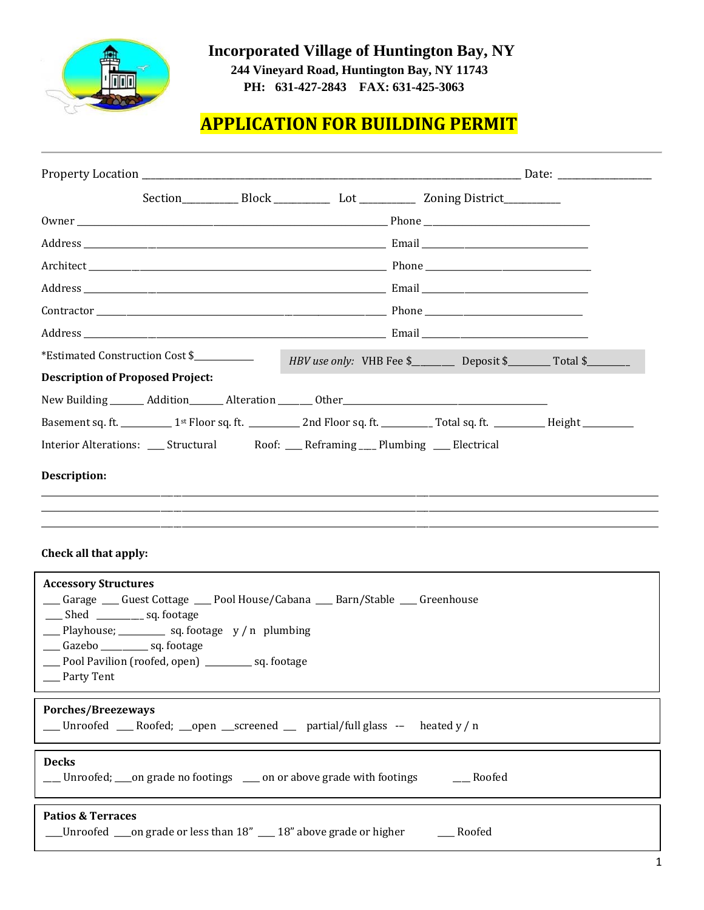

 **Incorporated Village of Huntington Bay, NY** 

 **244 Vineyard Road, Huntington Bay, NY 11743 PH: 631-427-2843 FAX: 631-425-3063** 

# **APPLICATION FOR BUILDING PERMIT**

|                                                                | *Estimated Construction Cost \$                                                                                                                                  |  |                                                                                             | HBV use only: VHB Fee \$___________ Deposit \$_________ Total \$______                               |                                                                                                                                                          |  |
|----------------------------------------------------------------|------------------------------------------------------------------------------------------------------------------------------------------------------------------|--|---------------------------------------------------------------------------------------------|------------------------------------------------------------------------------------------------------|----------------------------------------------------------------------------------------------------------------------------------------------------------|--|
|                                                                | <b>Description of Proposed Project:</b>                                                                                                                          |  |                                                                                             |                                                                                                      |                                                                                                                                                          |  |
|                                                                |                                                                                                                                                                  |  |                                                                                             | New Building ________ Addition ________ Alteration _______ Other ___________________________________ |                                                                                                                                                          |  |
|                                                                |                                                                                                                                                                  |  |                                                                                             |                                                                                                      | Basement sq. ft. ______________1 <sup>st</sup> Floor sq. ft. ______________2nd Floor sq. ft. ____________Total sq. ft. _____________Height _____________ |  |
|                                                                |                                                                                                                                                                  |  | Interior Alterations: _____ Structural Roof: _____ Reframing ____ Plumbing _____ Electrical |                                                                                                      |                                                                                                                                                          |  |
| Description:                                                   |                                                                                                                                                                  |  |                                                                                             |                                                                                                      |                                                                                                                                                          |  |
| Check all that apply:                                          |                                                                                                                                                                  |  |                                                                                             |                                                                                                      |                                                                                                                                                          |  |
| <b>Accessory Structures</b><br>___ Shed __________ sq. footage | __ Playhouse; _______ sq. footage y/n plumbing<br>___ Gazebo _________ sq. footage<br>___ Pool Pavilion (roofed, open) __________ sq. footage<br>____ Party Tent |  | Carage Cuest Cottage Coll House/Cabana Carri / Stable Coreenhouse                           |                                                                                                      |                                                                                                                                                          |  |
| Porches/Breezeways                                             |                                                                                                                                                                  |  | _Unroofed __Roofed; __open __screened __ partial/full glass -- heated y / n                 |                                                                                                      |                                                                                                                                                          |  |
| <b>Decks</b>                                                   |                                                                                                                                                                  |  |                                                                                             |                                                                                                      |                                                                                                                                                          |  |

\_\_\_ Unroofed; \_\_\_on grade no footings \\_\_\_\_ on or above grade with footings \\_\_\_\_\_ Roofed

#### **Patios & Terraces**

\_\_Unroofed \_\_\_on grade or less than  $18''$  \_\_\_  $18''$  above grade or higher \_\_\_\_\_\_\_ Roofed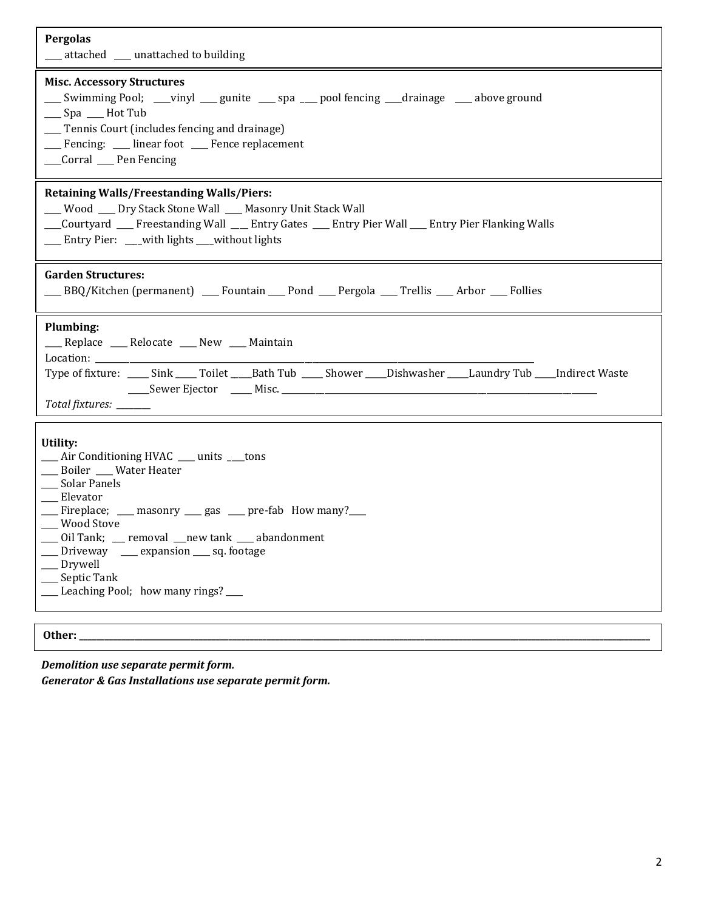| Pergolas<br>__ attached __ unattached to building                                                                                                                                                                                                                                                                                                    |  |  |  |  |  |
|------------------------------------------------------------------------------------------------------------------------------------------------------------------------------------------------------------------------------------------------------------------------------------------------------------------------------------------------------|--|--|--|--|--|
| <b>Misc. Accessory Structures</b><br>___ Swimming Pool; ___vinyl ___ gunite ___ spa ___ pool fencing ___drainage ___ above ground<br>__ Spa __ Hot Tub<br>__ Tennis Court (includes fencing and drainage)<br>__ Fencing: __ linear foot __ Fence replacement<br>__Corral __ Pen Fencing                                                              |  |  |  |  |  |
| <b>Retaining Walls/Freestanding Walls/Piers:</b><br>__ Wood __ Dry Stack Stone Wall __ Masonry Unit Stack Wall<br>__Courtyard ___ Freestanding Wall ___ Entry Gates ___ Entry Pier Wall ___ Entry Pier Flanking Walls<br>__ Entry Pier: __with lights __without lights                                                                               |  |  |  |  |  |
| <b>Garden Structures:</b><br>___BBQ/Kitchen (permanent) ___Fountain ___Pond ___Pergola ___Trellis ___Arbor ___Follies                                                                                                                                                                                                                                |  |  |  |  |  |
| Plumbing:<br>___ Replace ___ Relocate ___ New ___ Maintain<br>Location: _____________<br>Type of fixture: _____ Sink _____ Toilet _____ Bath Tub _____ Shower _____Dishwasher _____Laundry Tub ____Indirect Waste<br>Total fixtures: ______                                                                                                          |  |  |  |  |  |
| Utility:<br>__ Air Conditioning HVAC __ units __tons<br>__ Boiler __ Water Heater<br>__ Solar Panels<br>__ Elevator<br>__Fireplace; __ masonry __ gas __ pre-fab How many?__<br>__ Wood Stove<br>Oil Tank; _ removal _ new tank _ abandonment<br>Driveway __ expansion __ sq. footage<br>Drywell<br>Septic Tank<br>Leaching Pool; how many rings? __ |  |  |  |  |  |
| Other:                                                                                                                                                                                                                                                                                                                                               |  |  |  |  |  |

*Demolition use separate permit form.*

*Generator & Gas Installations use separate permit form.*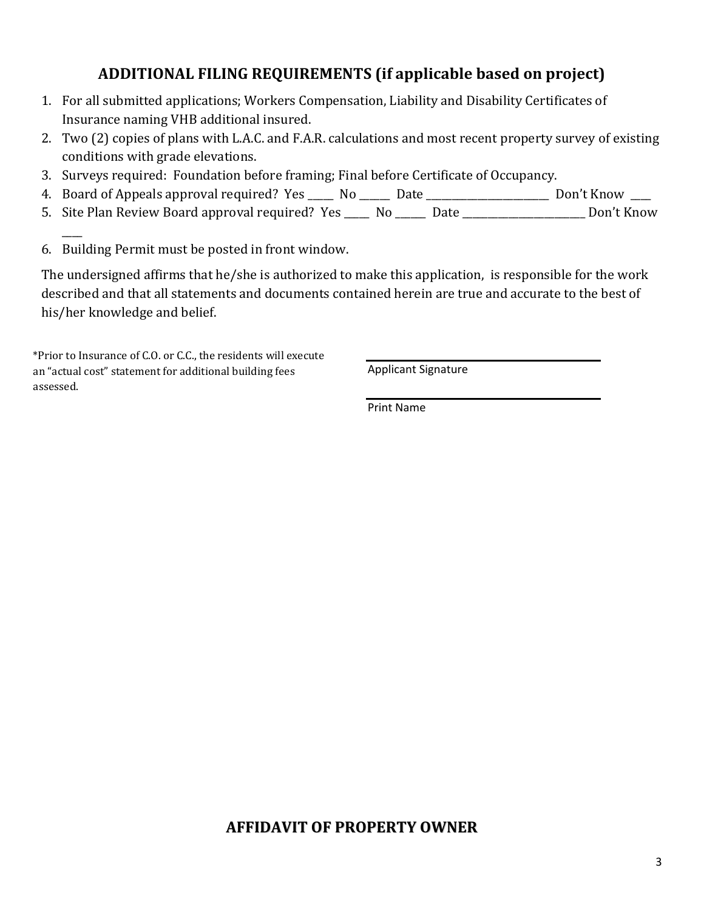## **ADDITIONAL FILING REQUIREMENTS (if applicable based on project)**

- 1. For all submitted applications; Workers Compensation, Liability and Disability Certificates of Insurance naming VHB additional insured.
- 2. Two (2) copies of plans with L.A.C. and F.A.R. calculations and most recent property survey of existing conditions with grade elevations.
- 3. Surveys required: Foundation before framing; Final before Certificate of Occupancy.
- 4. Board of Appeals approval required? Yes \_\_\_\_\_ No \_\_\_\_\_ Date \_\_\_\_\_\_\_\_\_\_\_\_\_\_\_\_\_\_\_\_\_\_ Don't Know \_\_\_
- 5. Site Plan Review Board approval required? Yes \_\_\_\_\_ No \_\_\_\_\_ Date \_\_\_\_\_\_\_\_\_\_\_\_\_\_\_\_\_\_\_\_\_\_\_ Don't Know
- 6. Building Permit must be posted in front window.

 $\overline{\phantom{a}}$ 

The undersigned affirms that he/she is authorized to make this application, is responsible for the work described and that all statements and documents contained herein are true and accurate to the best of his/her knowledge and belief.

sessed. \*Prior to Insurance of C.O. or C.C., the residents will execute an "actual cost" statement for additional building fees assessed.

Applicant Signature

Print Name

### **AFFIDAVIT OF PROPERTY OWNER**